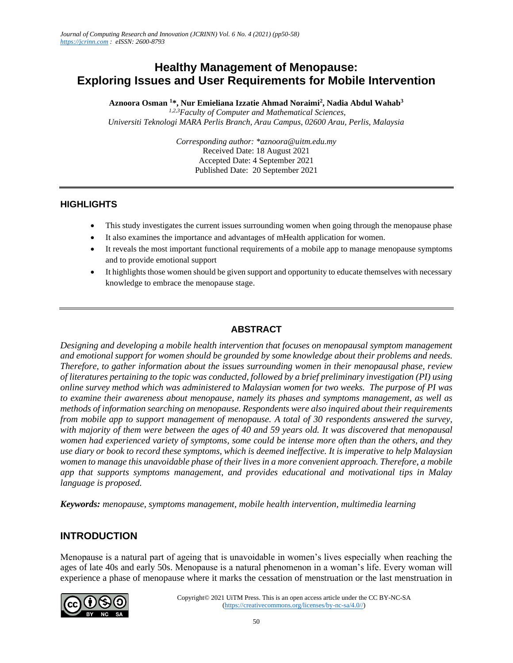# **Healthy Management of Menopause: Exploring Issues and User Requirements for Mobile Intervention**

**Aznoora Osman <sup>1</sup>\*, Nur Emieliana Izzatie Ahmad Noraimi<sup>2</sup> , Nadia Abdul Wahab<sup>3</sup>**

*1,2,3Faculty of Computer and Mathematical Sciences, Universiti Teknologi MARA Perlis Branch, Arau Campus, 02600 Arau, Perlis, Malaysia*

> *Corresponding author: \*aznoora@uitm.edu.my* Received Date: 18 August 2021 Accepted Date: 4 September 2021 Published Date: 20 September 2021

### **HIGHLIGHTS**

- This study investigates the current issues surrounding women when going through the menopause phase
- It also examines the importance and advantages of mHealth application for women.
- It reveals the most important functional requirements of a mobile app to manage menopause symptoms and to provide emotional support
- It highlights those women should be given support and opportunity to educate themselves with necessary knowledge to embrace the menopause stage.

### **ABSTRACT**

*Designing and developing a mobile health intervention that focuses on menopausal symptom management and emotional support for women should be grounded by some knowledge about their problems and needs. Therefore, to gather information about the issues surrounding women in their menopausal phase, review of literatures pertaining to the topic was conducted, followed by a brief preliminary investigation (PI) using online survey method which was administered to Malaysian women for two weeks. The purpose of PI was to examine their awareness about menopause, namely its phases and symptoms management, as well as methods of information searching on menopause. Respondents were also inquired about their requirements from mobile app to support management of menopause. A total of 30 respondents answered the survey, with majority of them were between the ages of 40 and 59 years old. It was discovered that menopausal women had experienced variety of symptoms, some could be intense more often than the others, and they use diary or book to record these symptoms, which is deemed ineffective. It is imperative to help Malaysian women to manage this unavoidable phase of their lives in a more convenient approach. Therefore, a mobile app that supports symptoms management, and provides educational and motivational tips in Malay language is proposed.* 

*Keywords: menopause, symptoms management, mobile health intervention, multimedia learning* 

## **INTRODUCTION**

Menopause is a natural part of ageing that is unavoidable in women's lives especially when reaching the ages of late 40s and early 50s. Menopause is a natural phenomenon in a woman's life. Every woman will experience a phase of menopause where it marks the cessation of menstruation or the last menstruation in

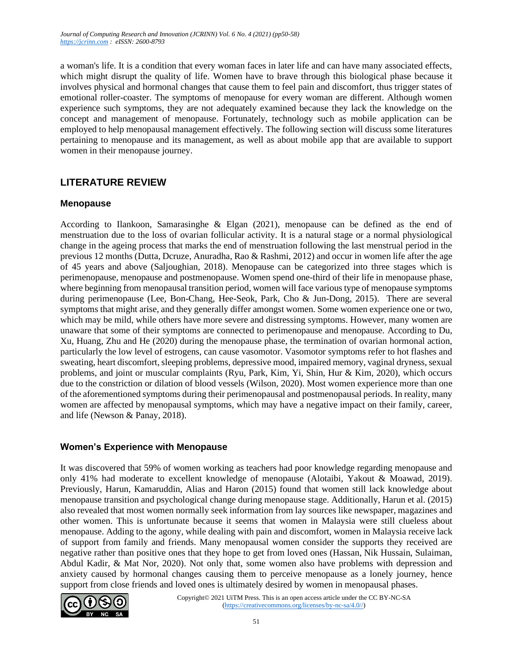a woman's life. It is a condition that every woman faces in later life and can have many associated effects, which might disrupt the quality of life. Women have to brave through this biological phase because it involves physical and hormonal changes that cause them to feel pain and discomfort, thus trigger states of emotional roller-coaster. The symptoms of menopause for every woman are different. Although women experience such symptoms, they are not adequately examined because they lack the knowledge on the concept and management of menopause. Fortunately, technology such as mobile application can be employed to help menopausal management effectively. The following section will discuss some literatures pertaining to menopause and its management, as well as about mobile app that are available to support women in their menopause journey.

## **LITERATURE REVIEW**

#### **Menopause**

According to Ilankoon, Samarasinghe & Elgan (2021), menopause can be defined as the end of menstruation due to the loss of ovarian follicular activity. It is a natural stage or a normal physiological change in the ageing process that marks the end of menstruation following the last menstrual period in the previous 12 months (Dutta, Dcruze, Anuradha, Rao & Rashmi, 2012) and occur in women life after the age of 45 years and above (Saljoughian, 2018). Menopause can be categorized into three stages which is perimenopause, menopause and postmenopause. Women spend one-third of their life in menopause phase, where beginning from menopausal transition period, women will face various type of menopause symptoms during perimenopause (Lee, Bon-Chang, Hee-Seok, Park, Cho & Jun-Dong, 2015). There are several symptoms that might arise, and they generally differ amongst women. Some women experience one or two, which may be mild, while others have more severe and distressing symptoms. However, many women are unaware that some of their symptoms are connected to perimenopause and menopause. According to Du, Xu, Huang, Zhu and He (2020) during the menopause phase, the termination of ovarian hormonal action, particularly the low level of estrogens, can cause vasomotor. Vasomotor symptoms refer to hot flashes and sweating, heart discomfort, sleeping problems, depressive mood, impaired memory, vaginal dryness, sexual problems, and joint or muscular complaints (Ryu, Park, Kim, Yi, Shin, Hur & Kim, 2020), which occurs due to the constriction or dilation of blood vessels (Wilson, 2020). Most women experience more than one of the aforementioned symptoms during their perimenopausal and postmenopausal periods. In reality, many women are affected by menopausal symptoms, which may have a negative impact on their family, career, and life (Newson & Panay, 2018).

#### **Women's Experience with Menopause**

It was discovered that 59% of women working as teachers had poor knowledge regarding menopause and only 41% had moderate to excellent knowledge of menopause (Alotaibi, Yakout & Moawad, 2019). Previously, Harun, Kamaruddin, Alias and Haron (2015) found that women still lack knowledge about menopause transition and psychological change during menopause stage. Additionally, Harun et al. (2015) also revealed that most women normally seek information from lay sources like newspaper, magazines and other women. This is unfortunate because it seems that women in Malaysia were still clueless about menopause. Adding to the agony, while dealing with pain and discomfort, women in Malaysia receive lack of support from family and friends. Many menopausal women consider the supports they received are negative rather than positive ones that they hope to get from loved ones (Hassan, Nik Hussain, Sulaiman, Abdul Kadir, & Mat Nor, 2020). Not only that, some women also have problems with depression and anxiety caused by hormonal changes causing them to perceive menopause as a lonely journey, hence support from close friends and loved ones is ultimately desired by women in menopausal phases.

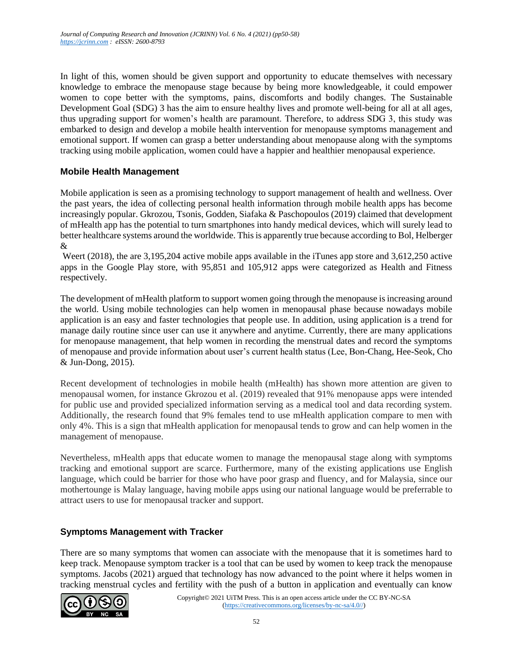In light of this, women should be given support and opportunity to educate themselves with necessary knowledge to embrace the menopause stage because by being more knowledgeable, it could empower women to cope better with the symptoms, pains, discomforts and bodily changes. The Sustainable Development Goal (SDG) 3 has the aim to ensure healthy lives and promote well-being for all at all ages, thus upgrading support for women's health are paramount. Therefore, to address SDG 3, this study was embarked to design and develop a mobile health intervention for menopause symptoms management and emotional support. If women can grasp a better understanding about menopause along with the symptoms tracking using mobile application, women could have a happier and healthier menopausal experience.

#### **Mobile Health Management**

Mobile application is seen as a promising technology to support management of health and wellness. Over the past years, the idea of collecting personal health information through mobile health apps has become increasingly popular. Gkrozou, Tsonis, Godden, Siafaka & Paschopoulos (2019) claimed that development of mHealth app has the potential to turn smartphones into handy medical devices, which will surely lead to better healthcare systems around the worldwide. This is apparently true because according to Bol, Helberger &

Weert (2018), the are 3,195,204 active mobile apps available in the iTunes app store and 3,612,250 active apps in the Google Play store, with 95,851 and 105,912 apps were categorized as Health and Fitness respectively.

The development of mHealth platform to support women going through the menopause is increasing around the world. Using mobile technologies can help women in menopausal phase because nowadays mobile application is an easy and faster technologies that people use. In addition, using application is a trend for manage daily routine since user can use it anywhere and anytime. Currently, there are many applications for menopause management, that help women in recording the menstrual dates and record the symptoms of menopause and provide information about user's current health status (Lee, Bon-Chang, Hee-Seok, Cho & Jun-Dong, 2015).

Recent development of technologies in mobile health (mHealth) has shown more attention are given to menopausal women, for instance Gkrozou et al. (2019) revealed that 91% menopause apps were intended for public use and provided specialized information serving as a medical tool and data recording system. Additionally, the research found that 9% females tend to use mHealth application compare to men with only 4%. This is a sign that mHealth application for menopausal tends to grow and can help women in the management of menopause.

Nevertheless, mHealth apps that educate women to manage the menopausal stage along with symptoms tracking and emotional support are scarce. Furthermore, many of the existing applications use English language, which could be barrier for those who have poor grasp and fluency, and for Malaysia, since our mothertounge is Malay language, having mobile apps using our national language would be preferrable to attract users to use for menopausal tracker and support.

### **Symptoms Management with Tracker**

There are so many symptoms that women can associate with the menopause that it is sometimes hard to keep track. Menopause symptom tracker is a tool that can be used by women to keep track the menopause symptoms. Jacobs (2021) argued that technology has now advanced to the point where it helps women in tracking menstrual cycles and fertility with the push of a button in application and eventually can know

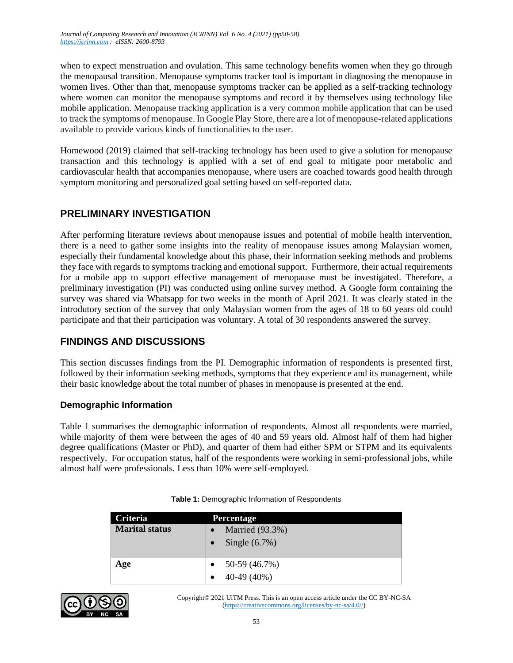when to expect menstruation and ovulation. This same technology benefits women when they go through the menopausal transition. Menopause symptoms tracker tool is important in diagnosing the menopause in women lives. Other than that, menopause symptoms tracker can be applied as a self-tracking technology where women can monitor the menopause symptoms and record it by themselves using technology like mobile application. Menopause tracking application is a very common mobile application that can be used to track the symptoms of menopause. In Google Play Store, there are a lot of menopause-related applications available to provide various kinds of functionalities to the user.

Homewood (2019) claimed that self-tracking technology has been used to give a solution for menopause transaction and this technology is applied with a set of end goal to mitigate poor metabolic and cardiovascular health that accompanies menopause, where users are coached towards good health through symptom monitoring and personalized goal setting based on self-reported data.

## **PRELIMINARY INVESTIGATION**

After performing literature reviews about menopause issues and potential of mobile health intervention, there is a need to gather some insights into the reality of menopause issues among Malaysian women, especially their fundamental knowledge about this phase, their information seeking methods and problems they face with regards to symptoms tracking and emotional support. Furthermore, their actual requirements for a mobile app to support effective management of menopause must be investigated. Therefore, a preliminary investigation (PI) was conducted using online survey method. A Google form containing the survey was shared via Whatsapp for two weeks in the month of April 2021. It was clearly stated in the introdutory section of the survey that only Malaysian women from the ages of 18 to 60 years old could participate and that their participation was voluntary. A total of 30 respondents answered the survey.

## **FINDINGS AND DISCUSSIONS**

This section discusses findings from the PI. Demographic information of respondents is presented first, followed by their information seeking methods, symptoms that they experience and its management, while their basic knowledge about the total number of phases in menopause is presented at the end.

#### **Demographic Information**

Table 1 summarises the demographic information of respondents. Almost all respondents were married, while majority of them were between the ages of 40 and 59 years old. Almost half of them had higher degree qualifications (Master or PhD), and quarter of them had either SPM or STPM and its equivalents respectively. For occupation status, half of the respondents were working in semi-professional jobs, while almost half were professionals. Less than 10% were self-employed.

| Criteria              | <b>Percentage</b> |  |  |  |  |
|-----------------------|-------------------|--|--|--|--|
| <b>Marital status</b> | Married (93.3%)   |  |  |  |  |
|                       | Single $(6.7\%)$  |  |  |  |  |
| Age                   | 50-59 (46.7%)     |  |  |  |  |
|                       | 40-49 (40%)       |  |  |  |  |

**Table 1:** Demographic Information of Respondents

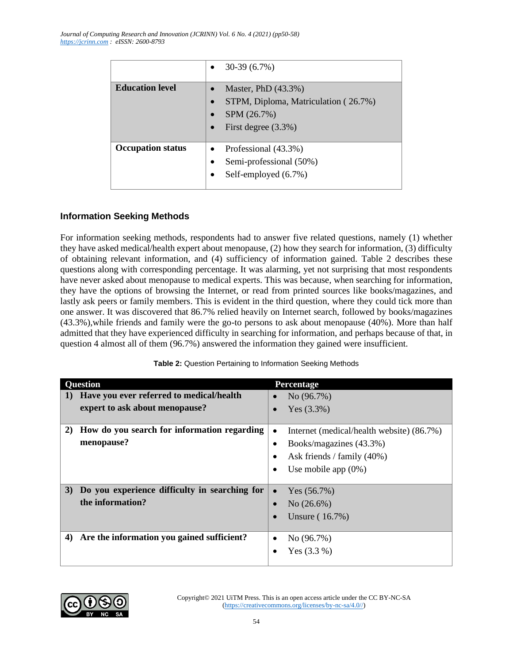|                          | $30-39(6.7%)$                                                                                        |
|--------------------------|------------------------------------------------------------------------------------------------------|
| <b>Education level</b>   | Master, PhD (43.3%)<br>STPM, Diploma, Matriculation (26.7%)<br>SPM (26.7%)<br>First degree $(3.3\%)$ |
| <b>Occupation status</b> | Professional (43.3%)<br>Semi-professional (50%)<br>$\bullet$<br>Self-employed (6.7%)                 |

#### **Information Seeking Methods**

For information seeking methods, respondents had to answer five related questions, namely (1) whether they have asked medical/health expert about menopause, (2) how they search for information, (3) difficulty of obtaining relevant information, and (4) sufficiency of information gained. Table 2 describes these questions along with corresponding percentage. It was alarming, yet not surprising that most respondents have never asked about menopause to medical experts. This was because, when searching for information, they have the options of browsing the Internet, or read from printed sources like books/magazines, and lastly ask peers or family members. This is evident in the third question, where they could tick more than one answer. It was discovered that 86.7% relied heavily on Internet search, followed by books/magazines (43.3%),while friends and family were the go-to persons to ask about menopause (40%). More than half admitted that they have experienced difficulty in searching for information, and perhaps because of that, in question 4 almost all of them (96.7%) answered the information they gained were insufficient.

| <b>Ouestion</b>                                                                        | Percentage                                |  |  |
|----------------------------------------------------------------------------------------|-------------------------------------------|--|--|
| Have you ever referred to medical/health<br>$\bf{l}$<br>expert to ask about menopause? | No $(96.7\%)$<br>Yes $(3.3%)$             |  |  |
|                                                                                        |                                           |  |  |
| How do you search for information regarding<br>$\mathbf{2}$                            | Internet (medical/health website) (86.7%) |  |  |
| menopause?                                                                             | Books/magazines (43.3%)<br>٠              |  |  |
|                                                                                        | Ask friends / family (40%)                |  |  |
|                                                                                        | Use mobile app $(0\%)$                    |  |  |
| Do you experience difficulty in searching for<br><b>3</b> )                            | Yes $(56.7%)$                             |  |  |
| the information?                                                                       | No $(26.6\%)$                             |  |  |
|                                                                                        | Unsure (16.7%)                            |  |  |
|                                                                                        |                                           |  |  |
| Are the information you gained sufficient?<br>4)                                       | No (96.7%)                                |  |  |
|                                                                                        | Yes $(3.3\%)$                             |  |  |

|  | Table 2: Question Pertaining to Information Seeking Methods |  |  |
|--|-------------------------------------------------------------|--|--|
|  |                                                             |  |  |

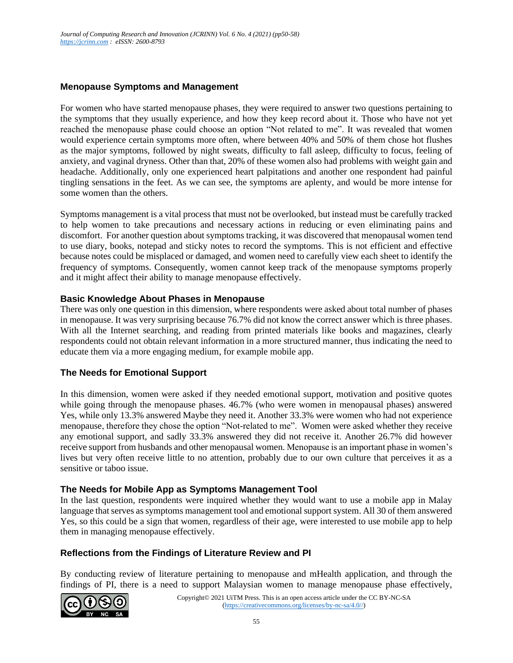#### **Menopause Symptoms and Management**

For women who have started menopause phases, they were required to answer two questions pertaining to the symptoms that they usually experience, and how they keep record about it. Those who have not yet reached the menopause phase could choose an option "Not related to me". It was revealed that women would experience certain symptoms more often, where between 40% and 50% of them chose hot flushes as the major symptoms, followed by night sweats, difficulty to fall asleep, difficulty to focus, feeling of anxiety, and vaginal dryness. Other than that, 20% of these women also had problems with weight gain and headache. Additionally, only one experienced heart palpitations and another one respondent had painful tingling sensations in the feet. As we can see, the symptoms are aplenty, and would be more intense for some women than the others.

Symptoms management is a vital process that must not be overlooked, but instead must be carefully tracked to help women to take precautions and necessary actions in reducing or even eliminating pains and discomfort. For another question about symptoms tracking, it was discovered that menopausal women tend to use diary, books, notepad and sticky notes to record the symptoms. This is not efficient and effective because notes could be misplaced or damaged, and women need to carefully view each sheet to identify the frequency of symptoms. Consequently, women cannot keep track of the menopause symptoms properly and it might affect their ability to manage menopause effectively.

#### **Basic Knowledge About Phases in Menopause**

There was only one question in this dimension, where respondents were asked about total number of phases in menopause. It was very surprising because 76.7% did not know the correct answer which is three phases. With all the Internet searching, and reading from printed materials like books and magazines, clearly respondents could not obtain relevant information in a more structured manner, thus indicating the need to educate them via a more engaging medium, for example mobile app.

#### **The Needs for Emotional Support**

In this dimension, women were asked if they needed emotional support, motivation and positive quotes while going through the menopause phases. 46.7% (who were women in menopausal phases) answered Yes, while only 13.3% answered Maybe they need it. Another 33.3% were women who had not experience menopause, therefore they chose the option "Not-related to me". Women were asked whether they receive any emotional support, and sadly 33.3% answered they did not receive it. Another 26.7% did however receive support from husbands and other menopausal women. Menopause is an important phase in women's lives but very often receive little to no attention, probably due to our own culture that perceives it as a sensitive or taboo issue.

#### **The Needs for Mobile App as Symptoms Management Tool**

In the last question, respondents were inquired whether they would want to use a mobile app in Malay language that serves as symptoms management tool and emotional support system. All 30 of them answered Yes, so this could be a sign that women, regardless of their age, were interested to use mobile app to help them in managing menopause effectively.

#### **Reflections from the Findings of Literature Review and PI**

By conducting review of literature pertaining to menopause and mHealth application, and through the findings of PI, there is a need to support Malaysian women to manage menopause phase effectively,

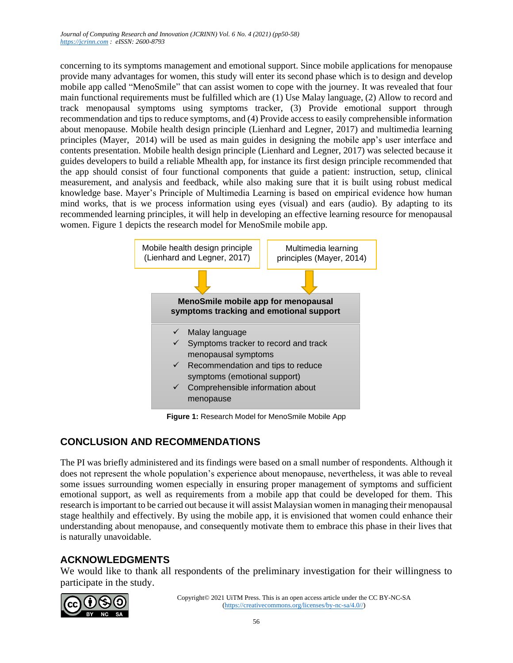concerning to its symptoms management and emotional support. Since mobile applications for menopause provide many advantages for women, this study will enter its second phase which is to design and develop mobile app called "MenoSmile" that can assist women to cope with the journey. It was revealed that four main functional requirements must be fulfilled which are (1) Use Malay language, (2) Allow to record and track menopausal symptoms using symptoms tracker, (3) Provide emotional support through recommendation and tips to reduce symptoms, and (4) Provide access to easily comprehensible information about menopause. Mobile health design principle (Lienhard and Legner, 2017) and multimedia learning principles (Mayer, 2014) will be used as main guides in designing the mobile app's user interface and contents presentation. Mobile health design principle (Lienhard and Legner, 2017) was selected because it guides developers to build a reliable Mhealth app, for instance its first design principle recommended that the app should consist of four functional components that guide a patient: instruction, setup, clinical measurement, and analysis and feedback, while also making sure that it is built using robust medical knowledge base. Mayer's Principle of Multimedia Learning is based on empirical evidence how human mind works, that is we process information using eyes (visual) and ears (audio). By adapting to its recommended learning principles, it will help in developing an effective learning resource for menopausal women. Figure 1 depicts the research model for MenoSmile mobile app.



**Figure 1:** Research Model for MenoSmile Mobile App

# **CONCLUSION AND RECOMMENDATIONS**

The PI was briefly administered and its findings were based on a small number of respondents. Although it does not represent the whole population's experience about menopause, nevertheless, it was able to reveal some issues surrounding women especially in ensuring proper management of symptoms and sufficient emotional support, as well as requirements from a mobile app that could be developed for them. This research is important to be carried out because it will assist Malaysian women in managing their menopausal stage healthily and effectively. By using the mobile app, it is envisioned that women could enhance their understanding about menopause, and consequently motivate them to embrace this phase in their lives that is naturally unavoidable.

# **ACKNOWLEDGMENTS**

We would like to thank all respondents of the preliminary investigation for their willingness to participate in the study.

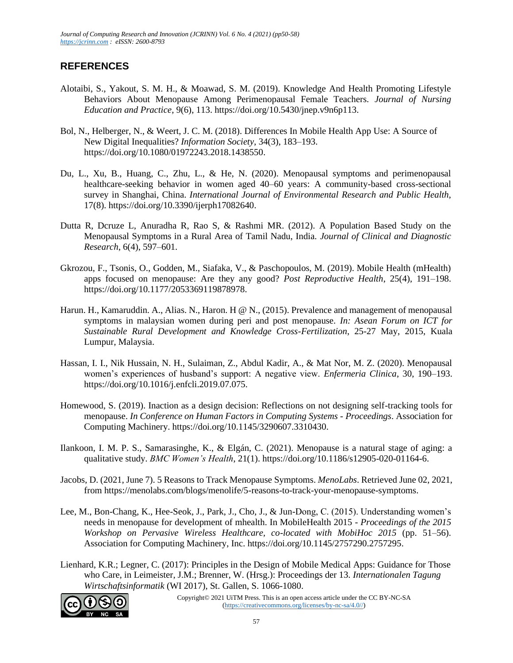## **REFERENCES**

- Alotaibi, S., Yakout, S. M. H., & Moawad, S. M. (2019). Knowledge And Health Promoting Lifestyle Behaviors About Menopause Among Perimenopausal Female Teachers. *Journal of Nursing Education and Practice*, 9(6), 113. https://doi.org/10.5430/jnep.v9n6p113.
- Bol, N., Helberger, N., & Weert, J. C. M. (2018). Differences In Mobile Health App Use: A Source of New Digital Inequalities? *Information Society*, 34(3), 183–193. https://doi.org/10.1080/01972243.2018.1438550.
- Du, L., Xu, B., Huang, C., Zhu, L., & He, N. (2020). Menopausal symptoms and perimenopausal healthcare-seeking behavior in women aged 40–60 years: A community-based cross-sectional survey in Shanghai, China. *International Journal of Environmental Research and Public Health*, 17(8). https://doi.org/10.3390/ijerph17082640.
- Dutta R, Dcruze L, Anuradha R, Rao S, & Rashmi MR. (2012). A Population Based Study on the Menopausal Symptoms in a Rural Area of Tamil Nadu, India. *Journal of Clinical and Diagnostic Research*, 6(4), 597–601.
- Gkrozou, F., Tsonis, O., Godden, M., Siafaka, V., & Paschopoulos, M. (2019). Mobile Health (mHealth) apps focused on menopause: Are they any good? *Post Reproductive Health*, 25(4), 191–198. https://doi.org/10.1177/2053369119878978.
- Harun. H., Kamaruddin. A., Alias. N., Haron. H @ N., (2015). Prevalence and management of menopausal symptoms in malaysian women during peri and post menopause. *In: Asean Forum on ICT for Sustainable Rural Development and Knowledge Cross-Fertilization*, 25-27 May, 2015, Kuala Lumpur, Malaysia.
- Hassan, I. I., Nik Hussain, N. H., Sulaiman, Z., Abdul Kadir, A., & Mat Nor, M. Z. (2020). Menopausal women's experiences of husband's support: A negative view. *Enfermeria Clinica*, 30, 190–193. https://doi.org/10.1016/j.enfcli.2019.07.075.
- Homewood, S. (2019). Inaction as a design decision: Reflections on not designing self-tracking tools for menopause. *In Conference on Human Factors in Computing Systems - Proceedings*. Association for Computing Machinery. https://doi.org/10.1145/3290607.3310430.
- Ilankoon, I. M. P. S., Samarasinghe, K., & Elgán, C. (2021). Menopause is a natural stage of aging: a qualitative study. *BMC Women's Health*, 21(1). https://doi.org/10.1186/s12905-020-01164-6.
- Jacobs, D. (2021, June 7). 5 Reasons to Track Menopause Symptoms. *MenoLabs*. Retrieved June 02, 2021, from https://menolabs.com/blogs/menolife/5-reasons-to-track-your-menopause-symptoms.
- Lee, M., Bon-Chang, K., Hee-Seok, J., Park, J., Cho, J., & Jun-Dong, C. (2015). Understanding women's needs in menopause for development of mhealth. In MobileHealth 2015 - *Proceedings of the 2015 Workshop on Pervasive Wireless Healthcare, co-located with MobiHoc 2015* (pp. 51–56). Association for Computing Machinery, Inc. https://doi.org/10.1145/2757290.2757295.
- Lienhard, K.R.; Legner, C. (2017): Principles in the Design of Mobile Medical Apps: Guidance for Those who Care, in Leimeister, J.M.; Brenner, W. (Hrsg.): Proceedings der 13. *Internationalen Tagung Wirtschaftsinformatik* (WI 2017), St. Gallen, S. 1066-1080.